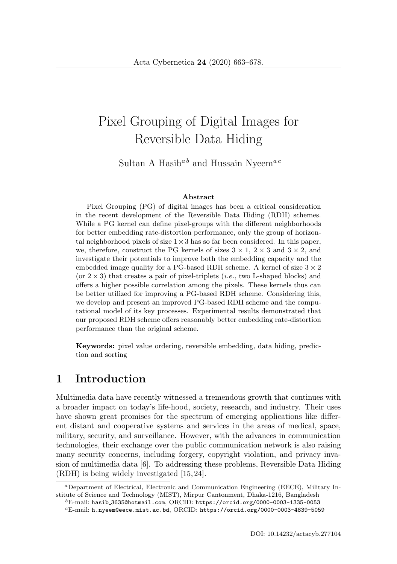# Pixel Grouping of Digital Images for Reversible Data Hiding

Sultan A Hasib<sup> $a b$ </sup> and Hussain Nyeem<sup> $ac$ </sup>

#### **Abstract**

Pixel Grouping (PG) of digital images has been a critical consideration in the recent development of the Reversible Data Hiding (RDH) schemes. While a PG kernel can define pixel-groups with the different neighborhoods for better embedding rate-distortion performance, only the group of horizontal neighborhood pixels of size  $1 \times 3$  has so far been considered. In this paper, we, therefore, construct the PG kernels of sizes  $3 \times 1$ ,  $2 \times 3$  and  $3 \times 2$ , and investigate their potentials to improve both the embedding capacity and the embedded image quality for a PG-based RDH scheme. A kernel of size  $3 \times 2$ (or  $2 \times 3$ ) that creates a pair of pixel-triplets (*i.e.*, two L-shaped blocks) and offers a higher possible correlation among the pixels. These kernels thus can be better utilized for improving a PG-based RDH scheme. Considering this, we develop and present an improved PG-based RDH scheme and the computational model of its key processes. Experimental results demonstrated that our proposed RDH scheme offers reasonably better embedding rate-distortion performance than the original scheme.

**Keywords:** pixel value ordering, reversible embedding, data hiding, prediction and sorting

### **1 Introduction**

Multimedia data have recently witnessed a tremendous growth that continues with a broader impact on today's life-hood, society, research, and industry. Their uses have shown great promises for the spectrum of emerging applications like different distant and cooperative systems and services in the areas of medical, space, military, security, and surveillance. However, with the advances in communication technologies, their exchange over the public communication network is also raising many security concerns, including forgery, copyright violation, and privacy invasion of multimedia data [6]. To addressing these problems, Reversible Data Hiding (RDH) is being widely investigated [15, 24].

<sup>a</sup>Department of Electrical, Electronic and Communication Engineering (EECE), Military Institute of Science and Technology (MIST), Mirpur Cantonment, Dhaka-1216, Bangladesh

 ${}^{b}$ E-mail: hasib\_3635@hotmail.com, ORCID: https://orcid.org/0000-0003-1335-0053

 $\mathrm{^{c}E\text{-}mail:}$  h.nyeem@eece.mist.ac.bd, ORCID: https://orcid.org/0000-0003-4839-5059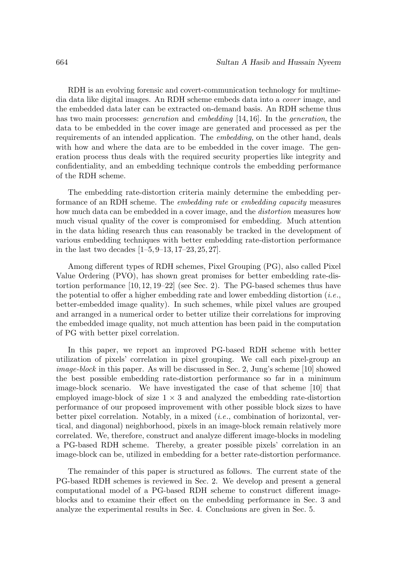RDH is an evolving forensic and covert-communication technology for multimedia data like digital images. An RDH scheme embeds data into a cover image, and the embedded data later can be extracted on-demand basis. An RDH scheme thus has two main processes: *generation* and *embedding* [14, 16]. In the *generation*, the data to be embedded in the cover image are generated and processed as per the requirements of an intended application. The embedding, on the other hand, deals with how and where the data are to be embedded in the cover image. The generation process thus deals with the required security properties like integrity and confidentiality, and an embedding technique controls the embedding performance of the RDH scheme.

The embedding rate-distortion criteria mainly determine the embedding performance of an RDH scheme. The embedding rate or embedding capacity measures how much data can be embedded in a cover image, and the *distortion* measures how much visual quality of the cover is compromised for embedding. Much attention in the data hiding research thus can reasonably be tracked in the development of various embedding techniques with better embedding rate-distortion performance in the last two decades [1–5, 9–13, 17–23, 25, 27].

Among different types of RDH schemes, Pixel Grouping (PG), also called Pixel Value Ordering (PVO), has shown great promises for better embedding rate-distortion performance [10, 12, 19–22] (see Sec. 2). The PG-based schemes thus have the potential to offer a higher embedding rate and lower embedding distortion  $(i.e.,$ better-embedded image quality). In such schemes, while pixel values are grouped and arranged in a numerical order to better utilize their correlations for improving the embedded image quality, not much attention has been paid in the computation of PG with better pixel correlation.

In this paper, we report an improved PG-based RDH scheme with better utilization of pixels' correlation in pixel grouping. We call each pixel-group an image-block in this paper. As will be discussed in Sec. 2, Jung's scheme [10] showed the best possible embedding rate-distortion performance so far in a minimum image-block scenario. We have investigated the case of that scheme [10] that employed image-block of size  $1 \times 3$  and analyzed the embedding rate-distortion performance of our proposed improvement with other possible block sizes to have better pixel correlation. Notably, in a mixed (i.e., combination of horizontal, vertical, and diagonal) neighborhood, pixels in an image-block remain relatively more correlated. We, therefore, construct and analyze different image-blocks in modeling a PG-based RDH scheme. Thereby, a greater possible pixels' correlation in an image-block can be, utilized in embedding for a better rate-distortion performance.

The remainder of this paper is structured as follows. The current state of the PG-based RDH schemes is reviewed in Sec. 2. We develop and present a general computational model of a PG-based RDH scheme to construct different imageblocks and to examine their effect on the embedding performance in Sec. 3 and analyze the experimental results in Sec. 4. Conclusions are given in Sec. 5.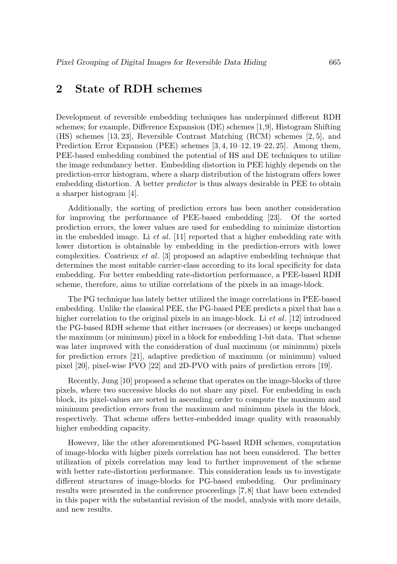# **2 State of RDH schemes**

Development of reversible embedding techniques has underpinned different RDH schemes; for example, Difference Expansion (DE) schemes [1,9], Histogram Shifting (HS) schemes [13, 23], Reversible Contrast Matching (RCM) schemes [2, 5], and Prediction Error Expansion (PEE) schemes [3, 4, 10–12, 19–22, 25]. Among them, PEE-based embedding combined the potential of HS and DE techniques to utilize the image redundancy better. Embedding distortion in PEE highly depends on the prediction-error histogram, where a sharp distribution of the histogram offers lower embedding distortion. A better predictor is thus always desirable in PEE to obtain a sharper histogram [4].

Additionally, the sorting of prediction errors has been another consideration for improving the performance of PEE-based embedding [23]. Of the sorted prediction errors, the lower values are used for embedding to minimize distortion in the embedded image. Li et al. [11] reported that a higher embedding rate with lower distortion is obtainable by embedding in the prediction-errors with lower complexities. Coatrieux *et al.* [3] proposed an adaptive embedding technique that determines the most suitable carrier-class according to its local specificity for data embedding. For better embedding rate-distortion performance, a PEE-based RDH scheme, therefore, aims to utilize correlations of the pixels in an image-block.

The PG technique has lately better utilized the image correlations in PEE-based embedding. Unlike the classical PEE, the PG-based PEE predicts a pixel that has a higher correlation to the original pixels in an image-block. Li *et al.* [12] introduced the PG-based RDH scheme that either increases (or decreases) or keeps unchanged the maximum (or minimum) pixel in a block for embedding 1-bit data. That scheme was later improved with the consideration of dual maximum (or minimum) pixels for prediction errors [21], adaptive prediction of maximum (or minimum) valued pixel [20], pixel-wise PVO [22] and 2D-PVO with pairs of prediction errors [19].

Recently, Jung [10] proposed a scheme that operates on the image-blocks of three pixels, where two successive blocks do not share any pixel. For embedding in each block, its pixel-values are sorted in ascending order to compute the maximum and minimum prediction errors from the maximum and minimum pixels in the block, respectively. That scheme offers better-embedded image quality with reasonably higher embedding capacity.

However, like the other aforementioned PG-based RDH schemes, computation of image-blocks with higher pixels correlation has not been considered. The better utilization of pixels correlation may lead to further improvement of the scheme with better rate-distortion performance. This consideration leads us to investigate different structures of image-blocks for PG-based embedding. Our preliminary results were presented in the conference proceedings [7, 8] that have been extended in this paper with the substantial revision of the model, analysis with more details, and new results.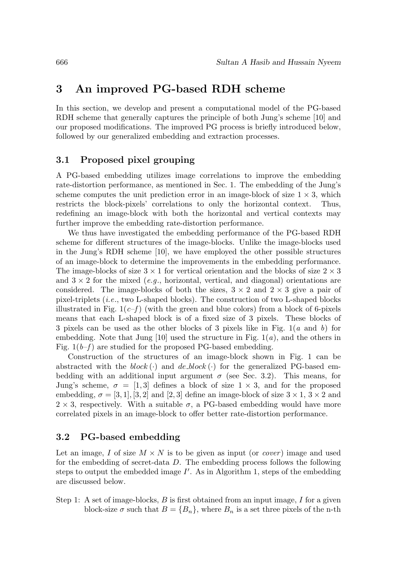# **3 An improved PG-based RDH scheme**

In this section, we develop and present a computational model of the PG-based RDH scheme that generally captures the principle of both Jung's scheme [10] and our proposed modifications. The improved PG process is briefly introduced below, followed by our generalized embedding and extraction processes.

### **3.1 Proposed pixel grouping**

A PG-based embedding utilizes image correlations to improve the embedding rate-distortion performance, as mentioned in Sec. 1. The embedding of the Jung's scheme computes the unit prediction error in an image-block of size  $1 \times 3$ , which restricts the block-pixels' correlations to only the horizontal context. Thus, redefining an image-block with both the horizontal and vertical contexts may further improve the embedding rate-distortion performance.

We thus have investigated the embedding performance of the PG-based RDH scheme for different structures of the image-blocks. Unlike the image-blocks used in the Jung's RDH scheme [10], we have employed the other possible structures of an image-block to determine the improvements in the embedding performance. The image-blocks of size  $3 \times 1$  for vertical orientation and the blocks of size  $2 \times 3$ and  $3 \times 2$  for the mixed (e.g., horizontal, vertical, and diagonal) orientations are considered. The image-blocks of both the sizes,  $3 \times 2$  and  $2 \times 3$  give a pair of pixel-triplets (i.e., two L-shaped blocks). The construction of two L-shaped blocks illustrated in Fig.  $1(c-f)$  (with the green and blue colors) from a block of 6-pixels means that each L-shaped block is of a fixed size of 3 pixels. These blocks of 3 pixels can be used as the other blocks of 3 pixels like in Fig.  $1(a \text{ and } b)$  for embedding. Note that Jung  $[10]$  used the structure in Fig.  $1(a)$ , and the others in Fig.  $1(b-f)$  are studied for the proposed PG-based embedding.

Construction of the structures of an image-block shown in Fig. 1 can be abstracted with the block (·) and de\_block (·) for the generalized PG-based embedding with an additional input argument  $\sigma$  (see Sec. 3.2). This means, for Jung's scheme,  $\sigma = [1, 3]$  defines a block of size  $1 \times 3$ , and for the proposed embedding,  $\sigma = [3, 1], [3, 2]$  and  $[2, 3]$  define an image-block of size  $3 \times 1$ ,  $3 \times 2$  and  $2 \times 3$ , respectively. With a suitable  $\sigma$ , a PG-based embedding would have more correlated pixels in an image-block to offer better rate-distortion performance.

### **3.2 PG-based embedding**

Let an image, I of size  $M \times N$  is to be given as input (or *cover*) image and used for the embedding of secret-data D. The embedding process follows the following steps to output the embedded image  $I'$ . As in Algorithm 1, steps of the embedding are discussed below.

Step 1: A set of image-blocks,  $B$  is first obtained from an input image,  $I$  for a given block-size  $\sigma$  such that  $B = \{B_n\}$ , where  $B_n$  is a set three pixels of the n-th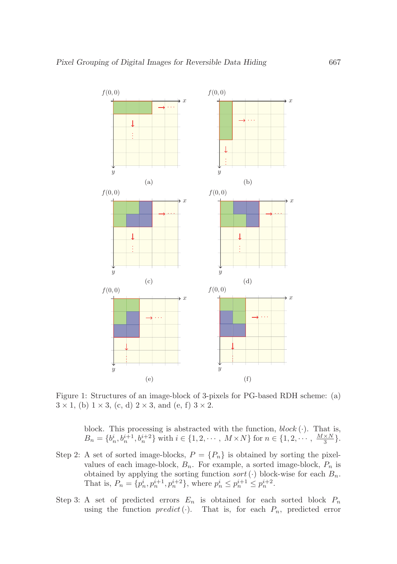

Figure 1: Structures of an image-block of 3-pixels for PG-based RDH scheme: (a)  $3 \times 1$ , (b)  $1 \times 3$ , (c, d)  $2 \times 3$ , and (e, f)  $3 \times 2$ .

block. This processing is abstracted with the function,  $block(\cdot)$ . That is,  $B_n = \{b_n^i, b_n^{i+1}, b_n^{i+2}\}\$  with  $i \in \{1, 2, \dots, M \times N\}$  for  $n \in \{1, 2, \dots, \frac{M \times N}{3}\}.$ 

- Step 2: A set of sorted image-blocks,  $P = \{P_n\}$  is obtained by sorting the pixelvalues of each image-block,  $B_n$ . For example, a sorted image-block,  $P_n$  is obtained by applying the sorting function  $sort(\cdot)$  block-wise for each  $B_n$ . That is,  $P_n = \{p_n^i, p_n^{i+1}, p_n^{i+2}\},\$  where  $p_n^i \leq p_n^{i+1} \leq p_n^{i+2}.$
- Step 3: A set of predicted errors  $E_n$  is obtained for each sorted block  $P_n$ using the function  $predict(\cdot)$ . That is, for each  $P_n$ , predicted error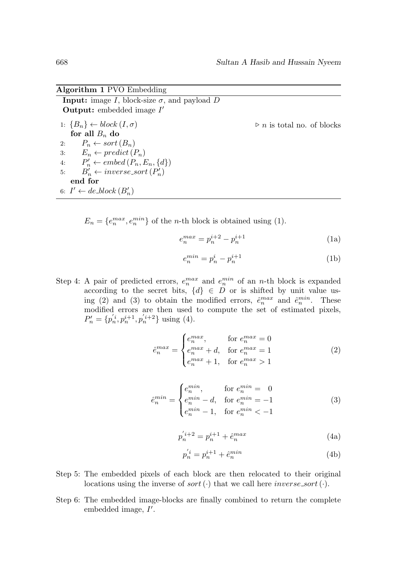#### **Algorithm 1** PVO Embedding

**Input:** image I, block-size  $\sigma$ , and payload D **Output:** embedded image  $I'$ 1:  ${B_n} \leftarrow block(I, \sigma)$   $\triangleright n$  is total no. of blocks for all  $B_n$  do 2:  $P_n \leftarrow sort(B_n)$ 3:  $E_n \leftarrow predict(P_n)$ 4:  $P'_n \leftarrow embed(P_n, E_n, \{d\})$ 5:  $B'_n \leftarrow inverse\_sort(P'_n)$ **end for** 6:  $I' \leftarrow de\_block(B'_n)$ 

 $E_n = \{e_n^{max}, e_n^{min}\}\$  of the *n*-th block is obtained using (1).

$$
e_n^{max} = p_n^{i+2} - p_n^{i+1}
$$
 (1a)

$$
e_n^{min} = p_n^i - p_n^{i+1} \tag{1b}
$$

Step 4: A pair of predicted errors,  $e_n^{max}$  and  $e_n^{min}$  of an *n*-th block is expanded according to the secret bits,  $\{d\} \in D$  or is shifted by unit value using (2) and (3) to obtain the modified errors,  $\hat{e}_n^{max}$  and  $\hat{e}_n^{min}$ . These modified errors are then used to compute the set of estimated pixels,  $P'_n = \{p'_n, p_n^{i+1}, p'_n^{i+2}\}\$ using (4).

$$
\hat{e}_n^{max} = \begin{cases}\n e_n^{max}, & \text{for } e_n^{max} = 0 \\
e_n^{max} + d, & \text{for } e_n^{max} = 1 \\
e_n^{max} + 1, & \text{for } e_n^{max} > 1\n\end{cases} \tag{2}
$$

$$
\hat{e}_n^{min} = \begin{cases} e_n^{min}, & \text{for } e_n^{min} = 0\\ e_n^{min} - d, & \text{for } e_n^{min} = -1\\ e_n^{min} - 1, & \text{for } e_n^{min} < -1 \end{cases} \tag{3}
$$

$$
p_n^{'i+2} = p_n^{i+1} + \hat{e}_n^{max}
$$
 (4a)

$$
p_n^{'i} = p_n^{i+1} + \hat{e}_n^{min} \tag{4b}
$$

- Step 5: The embedded pixels of each block are then relocated to their original locations using the inverse of sort  $(\cdot)$  that we call here *inverse\_sort*  $(\cdot)$ .
- Step 6: The embedded image-blocks are finally combined to return the complete embedded image,  $I'$ .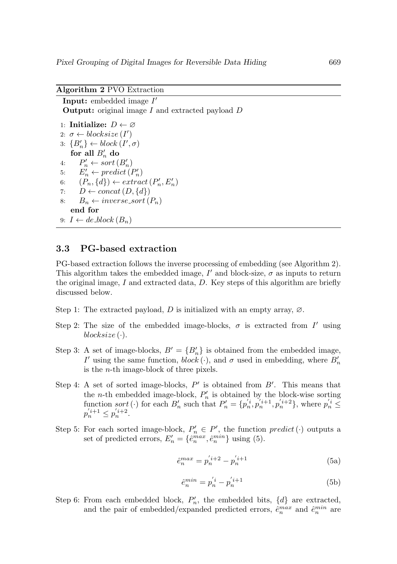#### **Algorithm 2** PVO Extraction

**Input:** embedded image  $I'$ **Output:** original image I and extracted payload D 1: **Initialize:**  $D \leftarrow \emptyset$ 2:  $\sigma \leftarrow blocksize(I')$ 3:  ${B'_n} \leftarrow block(I', \sigma)$ for all  $B'_n$  do 4:  $P'_n \leftarrow sort(B'_n)$ 5:  $E'_n \leftarrow predict(P'_n)$ 6:  $(P_n, \lbrace d \rbrace) \leftarrow extract(P'_n, E'_n)$ 7:  $D \leftarrow concat(D, \{d\})$ 8:  $B_n \leftarrow inverse\_sort(P_n)$ **end for** 9:  $I \leftarrow de\_block(B_n)$ 

### **3.3 PG-based extraction**

PG-based extraction follows the inverse processing of embedding (see Algorithm 2). This algorithm takes the embedded image,  $I'$  and block-size,  $\sigma$  as inputs to return the original image,  $I$  and extracted data,  $D$ . Key steps of this algorithm are briefly discussed below.

Step 1: The extracted payload, D is initialized with an empty array,  $\varnothing$ .

- Step 2: The size of the embedded image-blocks,  $\sigma$  is extracted from I' using  $blocksize(\cdot).$
- Step 3: A set of image-blocks,  $B' = \{B'_n\}$  is obtained from the embedded image, I' using the same function,  $block(\cdot)$ , and  $\sigma$  used in embedding, where  $B'_n$ is the n-th image-block of three pixels.
- Step 4: A set of sorted image-blocks,  $P'$  is obtained from  $B'$ . This means that the *n*-th embedded image-block,  $P'_n$  is obtained by the block-wise sorting function sort (·) for each  $B'_n$  such that  $P'_n = \{p'_n, p'_n^{i+1}, p'_n^{i+2}\}\$ , where  $p'_n \leq$  $p'_n^{i+1} \leq p'_n^{i+2}.$
- Step 5: For each sorted image-block,  $P'_n \in P'$ , the function  $predict(\cdot)$  outputs a set of predicted errors,  $E'_n = \{\hat{e}_n^{max}, \hat{e}_n^{min}\}\$ using (5).

$$
\hat{e}_n^{max} = p_n^{'i+2} - p_n^{'i+1} \tag{5a}
$$

$$
\hat{e}_n^{min} = p_n^{'i} - p_n^{'i+1} \tag{5b}
$$

Step 6: From each embedded block,  $P'_n$ , the embedded bits,  $\{d\}$  are extracted, and the pair of embedded/expanded predicted errors,  $\hat{e}_n^{max}$  and  $\hat{e}_n^{min}$  are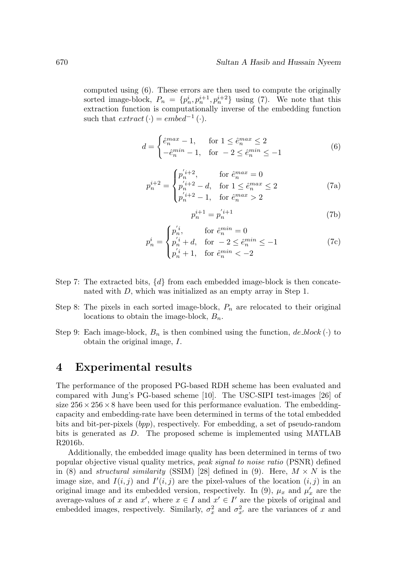computed using (6). These errors are then used to compute the originally sorted image-block,  $P_n = \{p_n^i, p_n^{i+1}, p_n^{i+2}\}\$ using (7). We note that this extraction function is computationally inverse of the embedding function such that  $extract(\cdot) = embed^{-1}(\cdot)$ .

$$
d = \begin{cases} \hat{e}_n^{max} - 1, & \text{for } 1 \le \hat{e}_n^{max} \le 2\\ -\hat{e}_n^{min} - 1, & \text{for } -2 \le \hat{e}_n^{min} \le -1 \end{cases} \tag{6}
$$

$$
p_n^{i+2} = \begin{cases} p_n^{'i+2}, & \text{for } \hat{e}_n^{max} = 0\\ p_n^{'i+2} - d, & \text{for } 1 \le \hat{e}_n^{max} \le 2\\ p_n^{'i+2} - 1, & \text{for } \hat{e}_n^{max} > 2 \end{cases}
$$
(7a)

$$
p_n^{i+1} = p_n^{'i+1}
$$
 (7b)

$$
p_n^i = \begin{cases} p_n^{'i}, & \text{for } \hat{e}_n^{min} = 0\\ p_n^{'i} + d, & \text{for } -2 \le \hat{e}_n^{min} \le -1\\ p_n^{'i} + 1, & \text{for } \hat{e}_n^{min} < -2 \end{cases} \tag{7c}
$$

- Step 7: The extracted bits,  $\{d\}$  from each embedded image-block is then concatenated with D, which was initialized as an empty array in Step 1.
- Step 8: The pixels in each sorted image-block,  $P_n$  are relocated to their original locations to obtain the image-block,  $B_n$ .
- Step 9: Each image-block,  $B_n$  is then combined using the function,  $de\_block(\cdot)$  to obtain the original image, I.

### **4 Experimental results**

The performance of the proposed PG-based RDH scheme has been evaluated and compared with Jung's PG-based scheme [10]. The USC-SIPI test-images [26] of size  $256 \times 256 \times 8$  have been used for this performance evaluation. The embeddingcapacity and embedding-rate have been determined in terms of the total embedded bits and bit-per-pixels (bpp), respectively. For embedding, a set of pseudo-random bits is generated as D. The proposed scheme is implemented using MATLAB R2016b.

Additionally, the embedded image quality has been determined in terms of two popular objective visual quality metrics, peak signal to noise ratio (PSNR) defined in (8) and *structural similarity* (SSIM) [28] defined in (9). Here,  $M \times N$  is the image size, and  $I(i, j)$  and  $I'(i, j)$  are the pixel-values of the location  $(i, j)$  in an original image and its embedded version, respectively. In (9),  $\mu_x$  and  $\mu'_x$  are the average-values of x and  $x'$ , where  $x \in I$  and  $x' \in I'$  are the pixels of original and embedded images, respectively. Similarly,  $\sigma_x^2$  and  $\sigma_{x'}^2$  are the variances of x and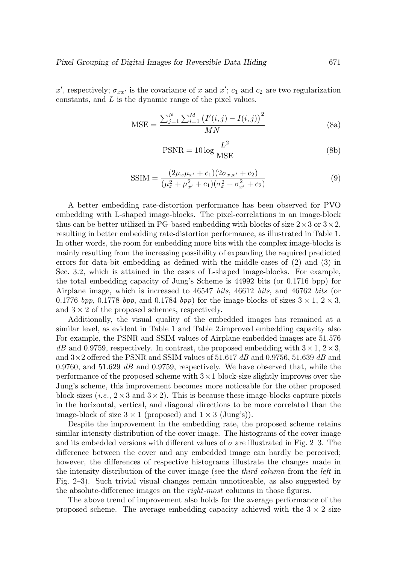x', respectively;  $\sigma_{xx'}$  is the covariance of x and x';  $c_1$  and  $c_2$  are two regularization constants, and L is the dynamic range of the pixel values.

$$
MSE = \frac{\sum_{j=1}^{N} \sum_{i=1}^{M} (I'(i,j) - I(i,j))^{2}}{MN}
$$
 (8a)

$$
PSNR = 10 \log \frac{L^2}{MSE}
$$
 (8b)

$$
SSIM = \frac{(2\mu_x \mu_{x'} + c_1)(2\sigma_{x,x'} + c_2)}{(\mu_x^2 + \mu_{x'}^2 + c_1)(\sigma_x^2 + \sigma_{x'}^2 + c_2)}
$$
(9)

A better embedding rate-distortion performance has been observed for PVO embedding with L-shaped image-blocks. The pixel-correlations in an image-block thus can be better utilized in PG-based embedding with blocks of size  $2 \times 3$  or  $3 \times 2$ , resulting in better embedding rate-distortion performance, as illustrated in Table 1. In other words, the room for embedding more bits with the complex image-blocks is mainly resulting from the increasing possibility of expanding the required predicted errors for data-bit embedding as defined with the middle-cases of (2) and (3) in Sec. 3.2, which is attained in the cases of L-shaped image-blocks. For example, the total embedding capacity of Jung's Scheme is 44992 bits (or 0.1716 bpp) for Airplane image, which is increased to 46547 bits, 46612 bits, and 46762 bits (or 0.1776 bpp, 0.1778 bpp, and 0.1784 bpp) for the image-blocks of sizes  $3 \times 1$ ,  $2 \times 3$ , and  $3 \times 2$  of the proposed schemes, respectively.

Additionally, the visual quality of the embedded images has remained at a similar level, as evident in Table 1 and Table 2.improved embedding capacity also For example, the PSNR and SSIM values of Airplane embedded images are 51.576  $dB$  and 0.9759, respectively. In contrast, the proposed embedding with  $3 \times 1$ ,  $2 \times 3$ , and  $3\times 2$  offered the PSNR and SSIM values of 51.617 dB and 0.9756, 51.639 dB and 0.9760, and 51.629  $\overline{dB}$  and 0.9759, respectively. We have observed that, while the performance of the proposed scheme with  $3 \times 1$  block-size slightly improves over the Jung's scheme, this improvement becomes more noticeable for the other proposed block-sizes (*i.e.*,  $2 \times 3$  and  $3 \times 2$ ). This is because these image-blocks capture pixels in the horizontal, vertical, and diagonal directions to be more correlated than the image-block of size  $3 \times 1$  (proposed) and  $1 \times 3$  (Jung's)).

Despite the improvement in the embedding rate, the proposed scheme retains similar intensity distribution of the cover image. The histograms of the cover image and its embedded versions with different values of  $\sigma$  are illustrated in Fig. 2–3. The difference between the cover and any embedded image can hardly be perceived; however, the differences of respective histograms illustrate the changes made in the intensity distribution of the cover image (see the third-column from the left in Fig. 2–3). Such trivial visual changes remain unnoticeable, as also suggested by the absolute-difference images on the right-most columns in those figures.

The above trend of improvement also holds for the average performance of the proposed scheme. The average embedding capacity achieved with the  $3 \times 2$  size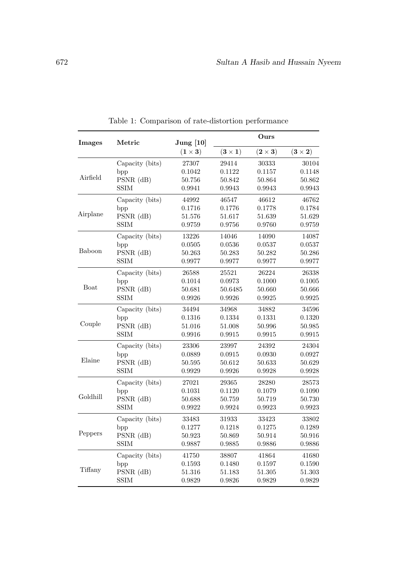| Images      | Metric          | June [10]<br>$(1 \times 3)$ | Ours         |              |              |
|-------------|-----------------|-----------------------------|--------------|--------------|--------------|
|             |                 |                             | $(3\times1)$ | $(2\times3)$ | $(3\times2)$ |
|             | Capacity (bits) | 27307                       | 29414        | 30333        | 30104        |
|             | bpp             | 0.1042                      | 0.1122       | 0.1157       | 0.1148       |
| Airfield    | $PSNR$ (dB)     | 50.756                      | 50.842       | 50.864       | 50.862       |
|             | <b>SSIM</b>     | 0.9941                      | 0.9943       | 0.9943       | 0.9943       |
|             | Capacity (bits) | 44992                       | 46547        | 46612        | 46762        |
|             | bpp             | 0.1716                      | 0.1776       | 0.1778       | 0.1784       |
| Airplane    | $PSNR$ (dB)     | 51.576                      | 51.617       | 51.639       | 51.629       |
|             | SSIM            | 0.9759                      | 0.9756       | 0.9760       | 0.9759       |
|             | Capacity (bits) | 13226                       | 14046        | 14090        | 14087        |
| Baboon      | bpp             | 0.0505                      | 0.0536       | 0.0537       | $_{0.0537}$  |
|             | PSNR (dB)       | 50.263                      | 50.283       | 50.282       | 50.286       |
|             | SSIM            | 0.9977                      | 0.9977       | 0.9977       | 0.9977       |
| <b>Boat</b> | Capacity (bits) | 26588                       | 25521        | 26224        | 26338        |
|             | bpp             | 0.1014                      | 0.0973       | 0.1000       | 0.1005       |
|             | $PSNR$ (dB)     | 50.681                      | 50.6485      | 50.660       | 50.666       |
|             | SSIM            | 0.9926                      | 0.9926       | 0.9925       | ${0.9925}$   |
|             | Capacity (bits) | 34494                       | 34968        | 34882        | 34596        |
|             | bpp             | 0.1316                      | 0.1334       | 0.1331       | 0.1320       |
| Couple      | $PSNR$ (dB)     | 51.016                      | 51.008       | 50.996       | 50.985       |
|             | SSIM            | 0.9916                      | 0.9915       | 0.9915       | ${0.9915}$   |
|             | Capacity (bits) | 23306                       | 23997        | 24392        | 24304        |
|             | bpp             | $_{0.0889}$                 | 0.0915       | 0.0930       | 0.0927       |
| Elaine      | $PSNR$ (dB)     | 50.595                      | 50.612       | 50.633       | 50.629       |
|             | <b>SSIM</b>     | 0.9929                      | 0.9926       | 0.9928       | 0.9928       |
| Goldhill    | Capacity (bits) | 27021                       | 29365        | 28280        | 28573        |
|             | bpp             | 0.1031                      | 0.1120       | 0.1079       | 0.1090       |
|             | $PSNR$ (dB)     | 50.688                      | 50.759       | 50.719       | 50.730       |
|             | <b>SSIM</b>     | 0.9922                      | 0.9924       | 0.9923       | 0.9923       |
| Peppers     | Capacity (bits) | 33483                       | 31933        | 33423        | 33802        |
|             | bpp             | 0.1277                      | 0.1218       | 0.1275       | 0.1289       |
|             | $PSNR$ (dB)     | 50.923                      | 50.869       | 50.914       | 50.916       |
|             | <b>SSIM</b>     | 0.9887                      | 0.9885       | 0.9886       | 0.9886       |
| Tiffany     | Capacity (bits) | 41750                       | 38807        | 41864        | 41680        |
|             | bpp             | 0.1593                      | 0.1480       | 0.1597       | 0.1590       |
|             | $PSNR$ (dB)     | 51.316                      | 51.183       | 51.305       | 51.303       |
|             | <b>SSIM</b>     | 0.9829                      | 0.9826       | 0.9829       | 0.9829       |

Table 1: Comparison of rate-distortion performance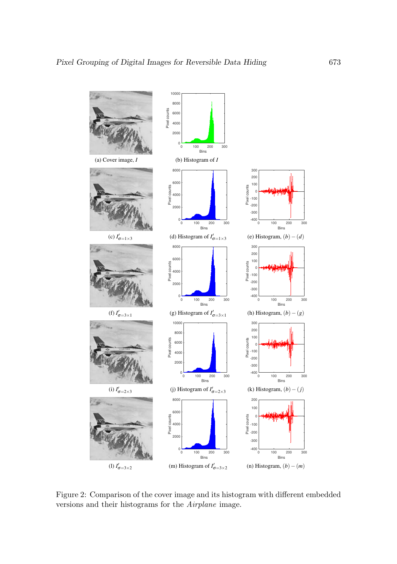

Figure 2: Comparison of the cover image and its histogram with different embedded versions and their histograms for the Airplane image.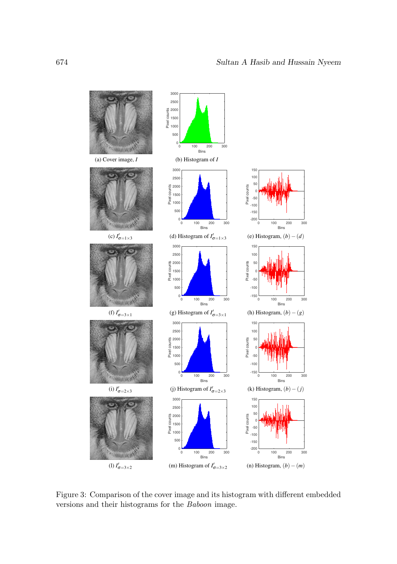

Figure 3: Comparison of the cover image and its histogram with different embedded versions and their histograms for the Baboon image.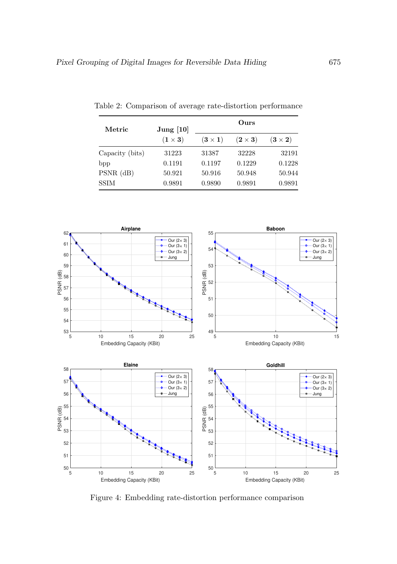| Metric          | Jung $[10]$  | Ours           |                |                |  |
|-----------------|--------------|----------------|----------------|----------------|--|
|                 | $(1\times3)$ | $(3 \times 1)$ | $(2 \times 3)$ | $(3 \times 2)$ |  |
| Capacity (bits) | 31223        | 31387          | 32228          | 32191          |  |
| bpp             | 0.1191       | 0.1197         | 0.1229         | 0.1228         |  |
| $PSNR$ (dB)     | 50.921       | 50.916         | 50.948         | 50.944         |  |
| <b>SSIM</b>     | 0.9891       | 0.9890         | 0.9891         | 0.9891         |  |

Table 2: Comparison of average rate-distortion performance



Figure 4: Embedding rate-distortion performance comparison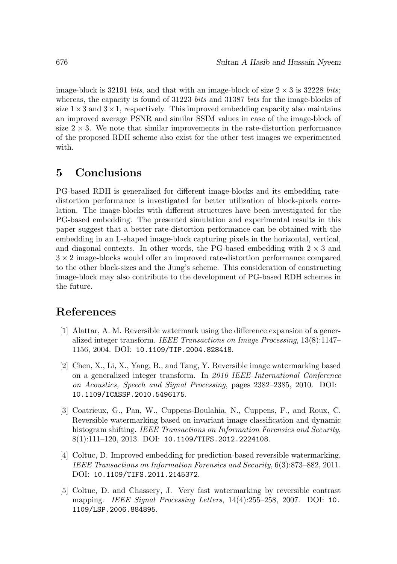image-block is 32191 bits, and that with an image-block of size  $2 \times 3$  is 32228 bits; whereas, the capacity is found of 31223 bits and 31387 bits for the image-blocks of size  $1\times3$  and  $3\times1$ , respectively. This improved embedding capacity also maintains an improved average PSNR and similar SSIM values in case of the image-block of size  $2 \times 3$ . We note that similar improvements in the rate-distortion performance of the proposed RDH scheme also exist for the other test images we experimented with.

# **5 Conclusions**

PG-based RDH is generalized for different image-blocks and its embedding ratedistortion performance is investigated for better utilization of block-pixels correlation. The image-blocks with different structures have been investigated for the PG-based embedding. The presented simulation and experimental results in this paper suggest that a better rate-distortion performance can be obtained with the embedding in an L-shaped image-block capturing pixels in the horizontal, vertical, and diagonal contexts. In other words, the PG-based embedding with  $2 \times 3$  and  $3 \times 2$  image-blocks would offer an improved rate-distortion performance compared to the other block-sizes and the Jung's scheme. This consideration of constructing image-block may also contribute to the development of PG-based RDH schemes in the future.

### **References**

- [1] Alattar, A. M. Reversible watermark using the difference expansion of a generalized integer transform. IEEE Transactions on Image Processing, 13(8):1147– 1156, 2004. DOI: 10.1109/TIP.2004.828418.
- [2] Chen, X., Li, X., Yang, B., and Tang, Y. Reversible image watermarking based on a generalized integer transform. In 2010 IEEE International Conference on Acoustics, Speech and Signal Processing, pages 2382–2385, 2010. DOI: 10.1109/ICASSP.2010.5496175.
- [3] Coatrieux, G., Pan, W., Cuppens-Boulahia, N., Cuppens, F., and Roux, C. Reversible watermarking based on invariant image classification and dynamic histogram shifting. IEEE Transactions on Information Forensics and Security, 8(1):111–120, 2013. DOI: 10.1109/TIFS.2012.2224108.
- [4] Coltuc, D. Improved embedding for prediction-based reversible watermarking. IEEE Transactions on Information Forensics and Security, 6(3):873–882, 2011. DOI: 10.1109/TIFS.2011.2145372.
- [5] Coltuc, D. and Chassery, J. Very fast watermarking by reversible contrast mapping. IEEE Signal Processing Letters, 14(4):255–258, 2007. DOI: 10. 1109/LSP.2006.884895.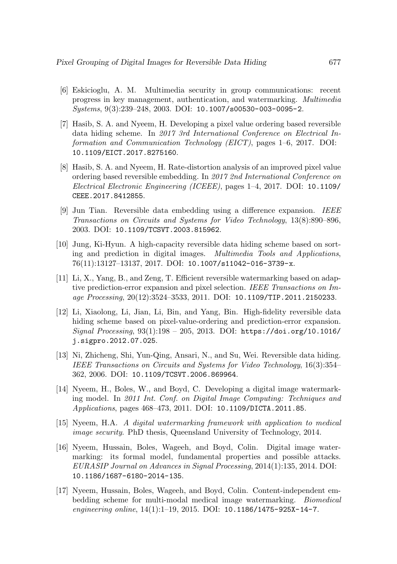- [6] Eskicioglu, A. M. Multimedia security in group communications: recent progress in key management, authentication, and watermarking. Multimedia Systems, 9(3):239–248, 2003. DOI: 10.1007/s00530-003-0095-2.
- [7] Hasib, S. A. and Nyeem, H. Developing a pixel value ordering based reversible data hiding scheme. In 2017 3rd International Conference on Electrical Information and Communication Technology (EICT), pages 1–6, 2017. DOI: 10.1109/EICT.2017.8275160.
- [8] Hasib, S. A. and Nyeem, H. Rate-distortion analysis of an improved pixel value ordering based reversible embedding. In 2017 2nd International Conference on Electrical Electronic Engineering (ICEEE), pages 1–4, 2017. DOI: 10.1109/ CEEE.2017.8412855.
- [9] Jun Tian. Reversible data embedding using a difference expansion. IEEE Transactions on Circuits and Systems for Video Technology, 13(8):890–896, 2003. DOI: 10.1109/TCSVT.2003.815962.
- [10] Jung, Ki-Hyun. A high-capacity reversible data hiding scheme based on sorting and prediction in digital images. Multimedia Tools and Applications, 76(11):13127–13137, 2017. DOI: 10.1007/s11042-016-3739-x.
- [11] Li, X., Yang, B., and Zeng, T. Efficient reversible watermarking based on adaptive prediction-error expansion and pixel selection. IEEE Transactions on Image Processing, 20(12):3524–3533, 2011. DOI: 10.1109/TIP.2011.2150233.
- [12] Li, Xiaolong, Li, Jian, Li, Bin, and Yang, Bin. High-fidelity reversible data hiding scheme based on pixel-value-ordering and prediction-error expansion. Signal Processing, 93(1):198 – 205, 2013. DOI: https://doi.org/10.1016/ j.sigpro.2012.07.025.
- [13] Ni, Zhicheng, Shi, Yun-Qing, Ansari, N., and Su, Wei. Reversible data hiding. IEEE Transactions on Circuits and Systems for Video Technology, 16(3):354– 362, 2006. DOI: 10.1109/TCSVT.2006.869964.
- [14] Nyeem, H., Boles, W., and Boyd, C. Developing a digital image watermarking model. In 2011 Int. Conf. on Digital Image Computing: Techniques and Applications, pages 468–473, 2011. DOI: 10.1109/DICTA.2011.85.
- [15] Nyeem, H.A. A digital watermarking framework with application to medical image security. PhD thesis, Queensland University of Technology, 2014.
- [16] Nyeem, Hussain, Boles, Wageeh, and Boyd, Colin. Digital image watermarking: its formal model, fundamental properties and possible attacks. EURASIP Journal on Advances in Signal Processing, 2014(1):135, 2014. DOI: 10.1186/1687-6180-2014-135.
- [17] Nyeem, Hussain, Boles, Wageeh, and Boyd, Colin. Content-independent embedding scheme for multi-modal medical image watermarking. Biomedical engineering online, 14(1):1–19, 2015. DOI: 10.1186/1475-925X-14-7.